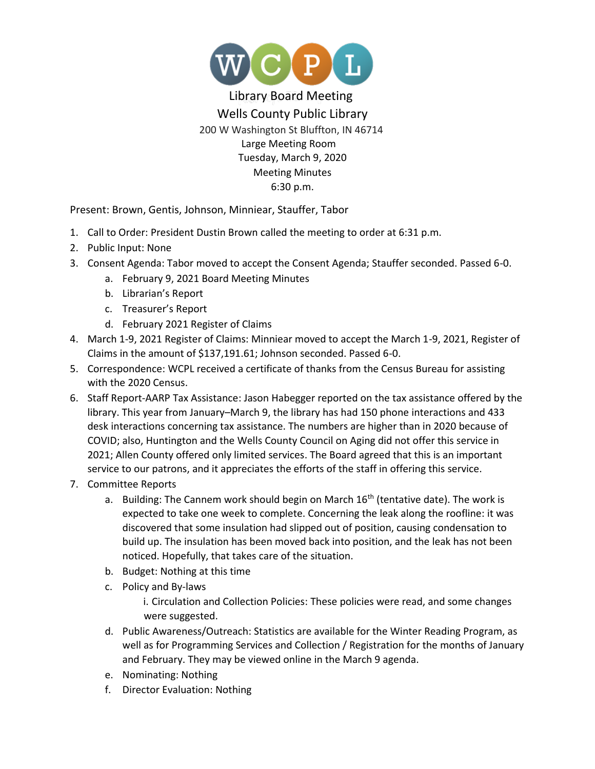

## Library Board Meeting Wells County Public Library 200 W Washington St Bluffton, IN 46714 Large Meeting Room Tuesday, March 9, 2020 Meeting Minutes 6:30 p.m.

Present: Brown, Gentis, Johnson, Minniear, Stauffer, Tabor

- 1. Call to Order: President Dustin Brown called the meeting to order at 6:31 p.m.
- 2. Public Input: None
- 3. Consent Agenda: Tabor moved to accept the Consent Agenda; Stauffer seconded. Passed 6-0.
	- a. February 9, 2021 Board Meeting Minutes
	- b. Librarian's Report
	- c. Treasurer's Report
	- d. February 2021 Register of Claims
- 4. March 1-9, 2021 Register of Claims: Minniear moved to accept the March 1-9, 2021, Register of Claims in the amount of \$137,191.61; Johnson seconded. Passed 6-0.
- 5. Correspondence: WCPL received a certificate of thanks from the Census Bureau for assisting with the 2020 Census.
- 6. Staff Report-AARP Tax Assistance: Jason Habegger reported on the tax assistance offered by the library. This year from January–March 9, the library has had 150 phone interactions and 433 desk interactions concerning tax assistance. The numbers are higher than in 2020 because of COVID; also, Huntington and the Wells County Council on Aging did not offer this service in 2021; Allen County offered only limited services. The Board agreed that this is an important service to our patrons, and it appreciates the efforts of the staff in offering this service.
- 7. Committee Reports
	- a. Building: The Cannem work should begin on March  $16<sup>th</sup>$  (tentative date). The work is expected to take one week to complete. Concerning the leak along the roofline: it was discovered that some insulation had slipped out of position, causing condensation to build up. The insulation has been moved back into position, and the leak has not been noticed. Hopefully, that takes care of the situation.
	- b. Budget: Nothing at this time
	- c. Policy and By-laws
		- i. Circulation and Collection Policies: These policies were read, and some changes were suggested.
	- d. Public Awareness/Outreach: Statistics are available for the Winter Reading Program, as well as for Programming Services and Collection / Registration for the months of January and February. They may be viewed online in the March 9 agenda.
	- e. Nominating: Nothing
	- f. Director Evaluation: Nothing